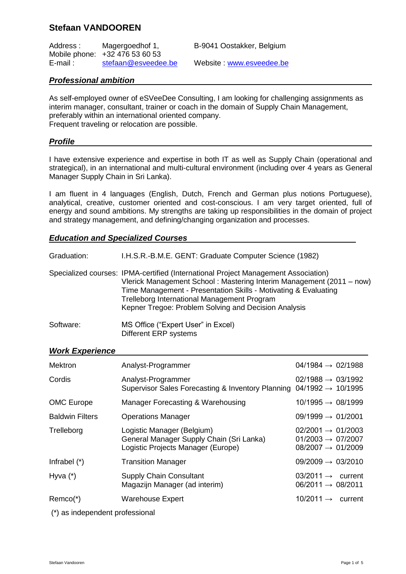# **Stefaan VANDOOREN**

Address : Magergoedhof 1, B-9041 Oostakker, Belgium Mobile phone: +32 476 53 60 53<br>E-mail: stefaan@esveedee.be

Website : [www.esveedee.be](http://www.esveedee.be/)

## *Professional ambition*

As self-employed owner of eSVeeDee Consulting, I am looking for challenging assignments as interim manager, consultant, trainer or coach in the domain of Supply Chain Management, preferably within an international oriented company. Frequent traveling or relocation are possible.

## *Profile*

I have extensive experience and expertise in both IT as well as Supply Chain (operational and strategical), in an international and multi-cultural environment (including over 4 years as General Manager Supply Chain in Sri Lanka).

I am fluent in 4 languages (English, Dutch, French and German plus notions Portuguese), analytical, creative, customer oriented and cost-conscious. I am very target oriented, full of energy and sound ambitions. My strengths are taking up responsibilities in the domain of project and strategy management, and defining/changing organization and processes.

## *Education and Specialized Courses*

| Graduation: | I.H.S.R.-B.M.E. GENT: Graduate Computer Science (1982)                                                                                                                                                                                                                                                                               |
|-------------|--------------------------------------------------------------------------------------------------------------------------------------------------------------------------------------------------------------------------------------------------------------------------------------------------------------------------------------|
|             | Specialized courses: IPMA-certified (International Project Management Association)<br>Vlerick Management School: Mastering Interim Management (2011 – now)<br>Time Management - Presentation Skills - Motivating & Evaluating<br>Trelleborg International Management Program<br>Kepner Tregoe: Problem Solving and Decision Analysis |
| Software:   | MS Office ("Expert User" in Excel)                                                                                                                                                                                                                                                                                                   |

| Soltware. | <b>INIO UTILGE (EXPETE USEI III EXC</b> |  |
|-----------|-----------------------------------------|--|
|           | Different ERP systems                   |  |

### *Work Experience*

| Mektron                | Analyst-Programmer                                                                                           | $04/1984 \rightarrow 02/1988$                                                                   |
|------------------------|--------------------------------------------------------------------------------------------------------------|-------------------------------------------------------------------------------------------------|
| Cordis                 | Analyst-Programmer<br>Supervisor Sales Forecasting & Inventory Planning                                      | $02/1988 \rightarrow 03/1992$<br>$04/1992 \rightarrow 10/1995$                                  |
| <b>OMC Europe</b>      | Manager Forecasting & Warehousing                                                                            | $10/1995 \rightarrow 08/1999$                                                                   |
| <b>Baldwin Filters</b> | <b>Operations Manager</b>                                                                                    | $09/1999 \rightarrow 01/2001$                                                                   |
| Trelleborg             | Logistic Manager (Belgium)<br>General Manager Supply Chain (Sri Lanka)<br>Logistic Projects Manager (Europe) | $02/2001 \rightarrow 01/2003$<br>$01/2003 \rightarrow 07/2007$<br>$08/2007 \rightarrow 01/2009$ |
| Infrabel $(*)$         | <b>Transition Manager</b>                                                                                    | $09/2009 \rightarrow 03/2010$                                                                   |
| Hyva $(*)$             | <b>Supply Chain Consultant</b><br>Magazijn Manager (ad interim)                                              | $03/2011 \rightarrow$ current<br>$06/2011 \rightarrow 08/2011$                                  |
| $Remco(*)$             | <b>Warehouse Expert</b>                                                                                      | $10/2011 \rightarrow$ current                                                                   |

(\*) as independent professional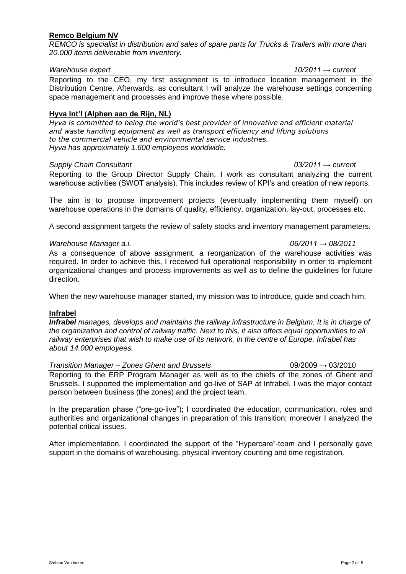### **Remco Belgium NV**

*REMCO is specialist in distribution and sales of spare parts for Trucks & Trailers with more than 20.000 items deliverable from inventory.* 

#### *Warehouse expert 10/2011 → current*

Reporting to the CEO, my first assignment is to introduce location management in the Distribution Centre. Afterwards, as consultant I will analyze the warehouse settings concerning space management and processes and improve these where possible.

#### **Hyva Int'l (Alphen aan de Rijn, NL)**

*Hyva is committed to being the world's best provider of innovative and efficient material and waste handling equipment as well as transport efficiency and lifting solutions to the commercial vehicle and environmental service industries. Hyva has approximately 1.600 employees worldwide.*

#### *Supply Chain Consultant 03/2011 → current*

Reporting to the Group Director Supply Chain, I work as consultant analyzing the current warehouse activities (SWOT analysis). This includes review of KPI"s and creation of new reports.

The aim is to propose improvement projects (eventually implementing them myself) on warehouse operations in the domains of quality, efficiency, organization, lay-out, processes etc.

A second assignment targets the review of safety stocks and inventory management parameters.

#### *Warehouse Manager a.i. 06/2011 → 08/2011*

As a consequence of above assignment, a reorganization of the warehouse activities was required. In order to achieve this, I received full operational responsibility in order to implement organizational changes and process improvements as well as to define the guidelines for future direction.

When the new warehouse manager started, my mission was to introduce, guide and coach him.

#### **Infrabel**

*Infrabel manages, develops and maintains the railway infrastructure in Belgium. It is in charge of the organization and control of railway traffic. Next to this, it also offers equal opportunities to all railway enterprises that wish to make use of its network, in the centre of Europe. Infrabel has about 14.000 employees.*

*Transition Manager – Zones Ghent and Brussels* 09/2009 → 03/2010 Reporting to the ERP Program Manager as well as to the chiefs of the zones of Ghent and Brussels, I supported the implementation and go-live of SAP at Infrabel. I was the major contact person between business (the zones) and the project team.

In the preparation phase ("pre-go-live"); I coordinated the education, communication, roles and authorities and organizational changes in preparation of this transition; moreover I analyzed the potential critical issues.

After implementation, I coordinated the support of the "Hypercare"-team and I personally gave support in the domains of warehousing, physical inventory counting and time registration.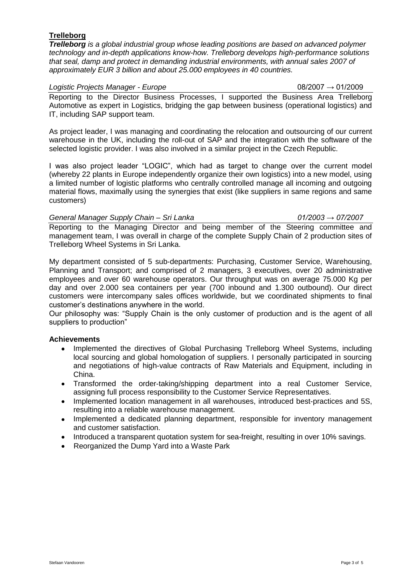# **Trelleborg**

*Trelleborg is a global industrial group whose leading positions are based on advanced polymer technology and in-depth applications know-how. Trelleborg develops high-performance solutions that seal, damp and protect in demanding industrial environments, with annual sales 2007 of approximately EUR 3 billion and about 25.000 employees in 40 countries.*

#### *Logistic Projects Manager - Europe* 08/2007 → 01/2009

Reporting to the Director Business Processes, I supported the Business Area Trelleborg Automotive as expert in Logistics, bridging the gap between business (operational logistics) and IT, including SAP support team.

As project leader, I was managing and coordinating the relocation and outsourcing of our current warehouse in the UK, including the roll-out of SAP and the integration with the software of the selected logistic provider. I was also involved in a similar project in the Czech Republic.

I was also project leader "LOGIC", which had as target to change over the current model (whereby 22 plants in Europe independently organize their own logistics) into a new model, using a limited number of logistic platforms who centrally controlled manage all incoming and outgoing material flows, maximally using the synergies that exist (like suppliers in same regions and same customers)

### *General Manager Supply Chain – Sri Lanka 01/2003 → 07/2007*

Reporting to the Managing Director and being member of the Steering committee and management team, I was overall in charge of the complete Supply Chain of 2 production sites of Trelleborg Wheel Systems in Sri Lanka.

My department consisted of 5 sub-departments: Purchasing, Customer Service, Warehousing, Planning and Transport; and comprised of 2 managers, 3 executives, over 20 administrative employees and over 60 warehouse operators. Our throughput was on average 75.000 Kg per day and over 2.000 sea containers per year (700 inbound and 1.300 outbound). Our direct customers were intercompany sales offices worldwide, but we coordinated shipments to final customer"s destinations anywhere in the world.

Our philosophy was: "Supply Chain is the only customer of production and is the agent of all suppliers to production"

### **Achievements**

- $\bullet$ Implemented the directives of Global Purchasing Trelleborg Wheel Systems, including local sourcing and global homologation of suppliers. I personally participated in sourcing and negotiations of high-value contracts of Raw Materials and Equipment, including in China.
- Transformed the order-taking/shipping department into a real Customer Service, assigning full process responsibility to the Customer Service Representatives.
- $\bullet$ Implemented location management in all warehouses, introduced best-practices and 5S, resulting into a reliable warehouse management.
- $\bullet$ Implemented a dedicated planning department, responsible for inventory management and customer satisfaction.
- Introduced a transparent quotation system for sea-freight, resulting in over 10% savings.
- Reorganized the Dump Yard into a Waste Park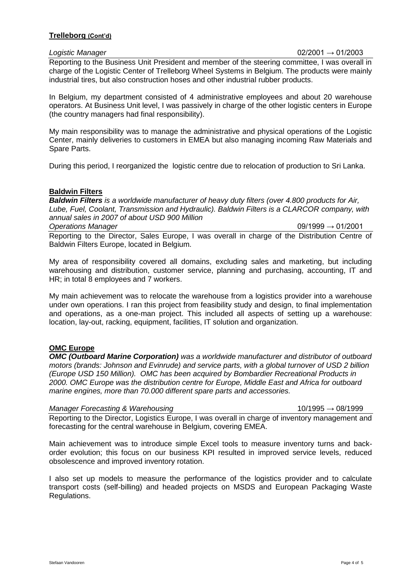#### **Trelleborg (Cont'd)**

| Logistic Manager | $02/2001 \to 01/2003$                                                                          |
|------------------|------------------------------------------------------------------------------------------------|
|                  | Reporting to the Business Unit President and member of the steering committee, I was overall i |

Reporting to the Business Unit President and member of the steering committee, I was overall in charge of the Logistic Center of Trelleborg Wheel Systems in Belgium. The products were mainly industrial tires, but also construction hoses and other industrial rubber products.

In Belgium, my department consisted of 4 administrative employees and about 20 warehouse operators. At Business Unit level, I was passively in charge of the other logistic centers in Europe (the country managers had final responsibility).

My main responsibility was to manage the administrative and physical operations of the Logistic Center, mainly deliveries to customers in EMEA but also managing incoming Raw Materials and Spare Parts.

During this period, I reorganized the logistic centre due to relocation of production to Sri Lanka.

## **Baldwin Filters**

*Baldwin Filters is a worldwide manufacturer of heavy duty filters (over 4.800 products for Air, Lube, Fuel, Coolant, Transmission and Hydraulic). Baldwin Filters is a CLARCOR company, with annual sales in 2007 of about USD 900 Million Operations Manager* 09/1999 → 01/2001

Reporting to the Director, Sales Europe, I was overall in charge of the Distribution Centre of Baldwin Filters Europe, located in Belgium.

My area of responsibility covered all domains, excluding sales and marketing, but including warehousing and distribution, customer service, planning and purchasing, accounting, IT and HR; in total 8 employees and 7 workers.

My main achievement was to relocate the warehouse from a logistics provider into a warehouse under own operations. I ran this project from feasibility study and design, to final implementation and operations, as a one-man project. This included all aspects of setting up a warehouse: location, lay-out, racking, equipment, facilities, IT solution and organization.

### **OMC Europe**

*OMC (Outboard Marine Corporation) was a worldwide manufacturer and distributor of outboard motors (brands: Johnson and Evinrude) and service parts, with a global turnover of USD 2 billion (Europe USD 150 Million). OMC has been acquired by Bombardier Recreational Products in 2000. OMC Europe was the distribution centre for Europe, Middle East and Africa for outboard marine engines, more than 70.000 different spare parts and accessories.*

#### *Manager Forecasting & Warehousing* 10/1995 → 08/1999

Reporting to the Director, Logistics Europe, I was overall in charge of inventory management and forecasting for the central warehouse in Belgium, covering EMEA.

Main achievement was to introduce simple Excel tools to measure inventory turns and backorder evolution; this focus on our business KPI resulted in improved service levels, reduced obsolescence and improved inventory rotation.

I also set up models to measure the performance of the logistics provider and to calculate transport costs (self-billing) and headed projects on MSDS and European Packaging Waste Regulations.